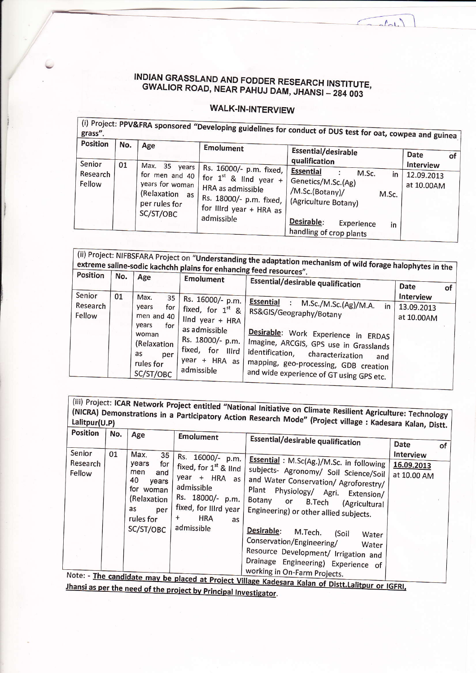## INDIAN GRASSLAND AND FODDER RESEARCH INSTITUTE, GWALIOR ROAD, NEAR PAHUJ DAM, JHANSI - 284 003

 $\sqrt{1-\frac{1}{2}}$ 

## **WALK-IN-INTERVIEW**

| <b>Position</b>              | No. | Age                                                                                                                                                                   | Emolument                                                                          | (i) Project: PPV&FRA sponsored "Developing guidelines for conduct of DUS test for oat, cowpea and guinea  |                                       |  |
|------------------------------|-----|-----------------------------------------------------------------------------------------------------------------------------------------------------------------------|------------------------------------------------------------------------------------|-----------------------------------------------------------------------------------------------------------|---------------------------------------|--|
|                              |     |                                                                                                                                                                       |                                                                                    | <b>Essential/desirable</b><br>qualification                                                               | <b>Date</b><br>$\overline{of}$        |  |
| Senior<br>Research<br>Fellow | 01  | Max.<br>35 years<br>for men and 40<br>years for woman I<br>HRA as admissible<br>(Relaxation as<br>per rules for<br>for IIIrd year + HRA as<br>SC/ST/OBC<br>admissible | Rs. 16000/- p.m. fixed,<br>for $1^{st}$ & lind year + '<br>Rs. 18000/- p.m. fixed, | <b>Essential</b><br>M.Sc.<br>in<br>Genetics/M.Sc.(Ag)<br>/M.Sc.(Botany)/<br>M.Sc.<br>(Agriculture Botany) | Interview<br>12.09.2013<br>at 10.00AM |  |
|                              |     |                                                                                                                                                                       |                                                                                    | Desirable:<br>Experience<br>in<br>handling of crop plants                                                 |                                       |  |

| <b>Position</b>              | No.                                                                                                                                                          | Age                                                                                                                                                                                                              | extreme saline-sodic kachchh plains for enhancing feed resources".<br><b>Emolument</b> | <b>Essential/desirable qualification</b>                             | <b>Date</b>                           | οf |
|------------------------------|--------------------------------------------------------------------------------------------------------------------------------------------------------------|------------------------------------------------------------------------------------------------------------------------------------------------------------------------------------------------------------------|----------------------------------------------------------------------------------------|----------------------------------------------------------------------|---------------------------------------|----|
| Senior<br>Research<br>Fellow | 01                                                                                                                                                           | Max.<br>35<br>years<br>for<br>men and 40<br>years                                                                                                                                                                | Rs. 16000/- p.m.<br>fixed, for 1 <sup>st</sup> &<br>lind year + HRA                    | Essential :<br>M.Sc./M.Sc.(Ag)/M.A.<br>in<br>RS&GIS/Geography/Botany | Interview<br>13.09.2013<br>at 10.00AM |    |
|                              | for<br>as admissible<br>woman<br>Rs. 18000/- p.m.<br>(Relaxation<br>fixed, for Illrd<br>as<br>per<br>$year + HRA as$<br>rules for<br>admissible<br>SC/ST/OBC | Desirable: Work Experience in ERDAS<br>Imagine, ARCGIS, GPS use in Grasslands<br>identification,<br>characterization<br>and<br>mapping, geo-processing, GDB creation<br>and wide experience of GT using GPS etc. |                                                                                        |                                                                      |                                       |    |

(iii) Project: ICAR Network Project entitled "National Initiative on Climate Resilient Agriculture: Technology (NICRA) Demonstrations in a Participatory Action Research Mode" (Project village: Kadesara Kalan, Distt.

| <b>Position</b>              | No. | Age                                                                                                                           | <b>Emolument</b>                                                                                                                                                                                                                       | <b>Essential/desirable qualification</b>                                                                                                                                                                                                                                                                                                                                                                                                                                 | Date                                   | οf |
|------------------------------|-----|-------------------------------------------------------------------------------------------------------------------------------|----------------------------------------------------------------------------------------------------------------------------------------------------------------------------------------------------------------------------------------|--------------------------------------------------------------------------------------------------------------------------------------------------------------------------------------------------------------------------------------------------------------------------------------------------------------------------------------------------------------------------------------------------------------------------------------------------------------------------|----------------------------------------|----|
| Senior<br>Research<br>Fellow | 01  | Max.<br>35<br>years<br>for<br>men<br>and<br>40<br>years<br>for<br>woman<br>(Relaxation<br>as<br>per<br>rules for<br>SC/ST/OBC | Rs. 16000/-<br>p.m.<br>fixed, for 1st & lind<br>$year +$<br>HRA as<br>admissible<br>Rs. 18000/-<br>p.m.<br>fixed, for IIIrd year<br><b>HRA</b><br>+<br>as<br>admissible<br>Note: - The candidate may be placed at Project Village Karl | Essential: M.Sc(Ag.)/M.Sc. in following<br>subjects- Agronomy/ Soil Science/Soil<br>and Water Conservation/ Agroforestry/<br><b>Plant</b><br>Physiology/ Agri.<br>Extension/<br>Botany<br>or<br><b>B.Tech</b><br>(Agricultural<br>Engineering) or other allied subjects.<br>Desirable:<br>M.Tech.<br>(Soil<br>Water<br>Conservation/Engineering/<br>Water<br>Resource Development/ Irrigation and<br>Drainage Engineering) Experience of<br>working in On-Farm Projects. | Interview<br>16.09.2013<br>at 10.00 AM |    |

at Project Village Kadesara Kalan of Distt.Lalitpur or IGFRI, Jhansi as per the need of the project by Principal Investigator.